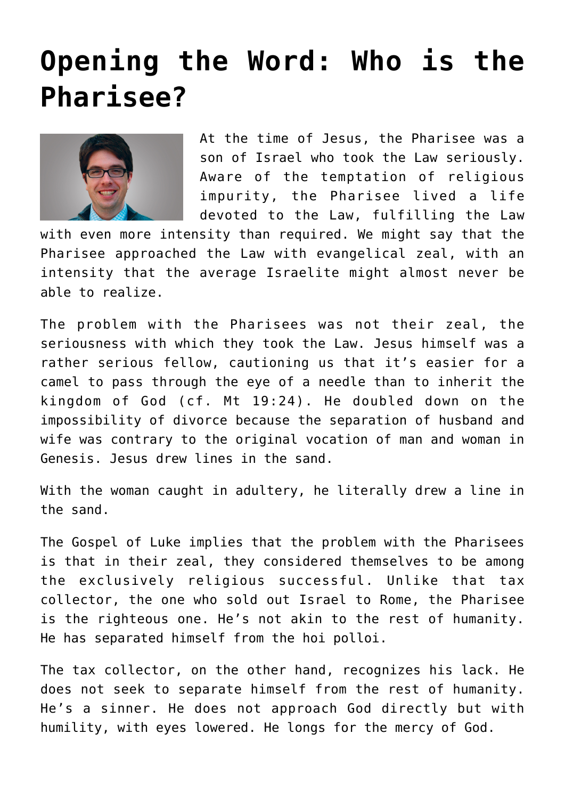## **[Opening the Word: Who is the](https://www.osvnews.com/2019/10/21/opening-the-word-who-is-the-pharisee/) [Pharisee?](https://www.osvnews.com/2019/10/21/opening-the-word-who-is-the-pharisee/)**



At the time of Jesus, the Pharisee was a son of Israel who took the Law seriously. Aware of the temptation of religious impurity, the Pharisee lived a life devoted to the Law, fulfilling the Law

with even more intensity than required. We might say that the Pharisee approached the Law with evangelical zeal, with an intensity that the average Israelite might almost never be able to realize.

The problem with the Pharisees was not their zeal, the seriousness with which they took the Law. Jesus himself was a rather serious fellow, cautioning us that it's easier for a camel to pass through the eye of a needle than to inherit the kingdom of God (cf. Mt 19:24). He doubled down on the impossibility of divorce because the separation of husband and wife was contrary to the original vocation of man and woman in Genesis. Jesus drew lines in the sand.

With the woman caught in adultery, he literally drew a line in the sand.

The Gospel of Luke implies that the problem with the Pharisees is that in their zeal, they considered themselves to be among the exclusively religious successful. Unlike that tax collector, the one who sold out Israel to Rome, the Pharisee is the righteous one. He's not akin to the rest of humanity. He has separated himself from the hoi polloi.

The tax collector, on the other hand, recognizes his lack. He does not seek to separate himself from the rest of humanity. He's a sinner. He does not approach God directly but with humility, with eyes lowered. He longs for the mercy of God.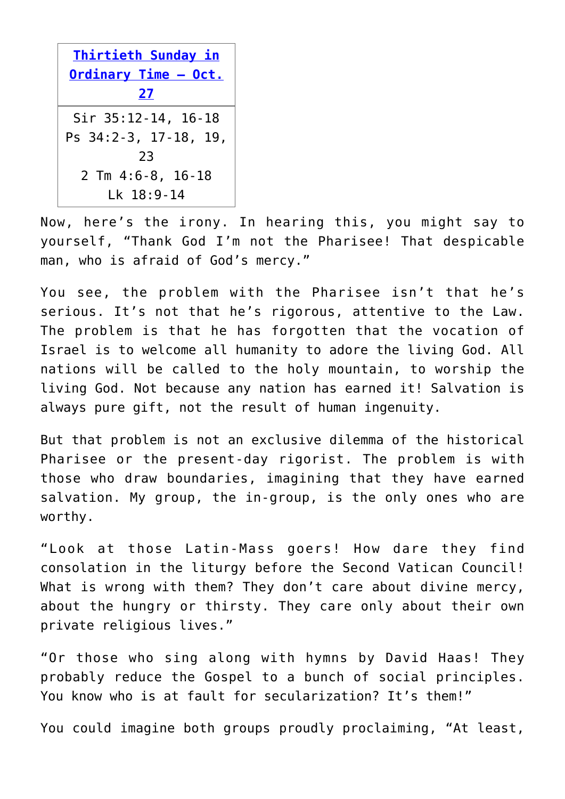| <b>Thirtieth Sunday in</b> |
|----------------------------|
| Ordinary Time - Oct.       |
| 27                         |
| Sir 35:12-14, 16-18        |
| Ps 34:2-3, 17-18, 19,      |
| 23                         |
| $2$ Tm $4:6-8$ , $16-18$   |
| Lk 18:9-14                 |

Now, here's the irony. In hearing this, you might say to yourself, "Thank God I'm not the Pharisee! That despicable man, who is afraid of God's mercy."

You see, the problem with the Pharisee isn't that he's serious. It's not that he's rigorous, attentive to the Law. The problem is that he has forgotten that the vocation of Israel is to welcome all humanity to adore the living God. All nations will be called to the holy mountain, to worship the living God. Not because any nation has earned it! Salvation is always pure gift, not the result of human ingenuity.

But that problem is not an exclusive dilemma of the historical Pharisee or the present-day rigorist. The problem is with those who draw boundaries, imagining that they have earned salvation. My group, the in-group, is the only ones who are worthy.

"Look at those Latin-Mass goers! How dare they find consolation in the liturgy before the Second Vatican Council! What is wrong with them? They don't care about divine mercy, about the hungry or thirsty. They care only about their own private religious lives."

"Or those who sing along with hymns by David Haas! They probably reduce the Gospel to a bunch of social principles. You know who is at fault for secularization? It's them!"

You could imagine both groups proudly proclaiming, "At least,